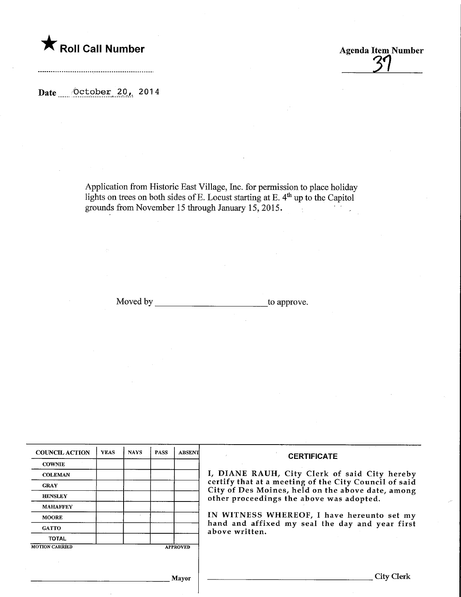**The Solid Call Number Agenda Item Number Agenda Item Number** 

Date <u>October</u> 20, 2014

Application from Historic East Village, Inc. for permission to place holiday lights on trees on both sides of E. Locust starting at E. 4<sup>th</sup> up to the Capitol grounds from November 15 through January 15, 2015.

Moved by to approve.

| <b>COUNCIL ACTION</b> | <b>YEAS</b> | <b>NAYS</b> | <b>PASS</b> | <b>ABSENT</b>   | <b>CERTIFICATE</b>                                                                            |
|-----------------------|-------------|-------------|-------------|-----------------|-----------------------------------------------------------------------------------------------|
| <b>COWNIE</b>         |             |             |             |                 |                                                                                               |
| <b>COLEMAN</b>        |             |             |             |                 | I, DIANE RAUH, City Clerk of said City hereby                                                 |
| <b>GRAY</b>           |             |             |             |                 | certify that at a meeting of the City Council of said                                         |
| <b>HENSLEY</b>        |             |             |             |                 | City of Des Moines, held on the above date, among<br>other proceedings the above was adopted. |
| <b>MAHAFFEY</b>       |             |             |             |                 |                                                                                               |
| <b>MOORE</b>          |             |             |             |                 | IN WITNESS WHEREOF, I have hereunto set my                                                    |
| <b>GATTO</b>          |             |             |             |                 | hand and affixed my seal the day and year first<br>above written.                             |
| <b>TOTAL</b>          |             |             |             |                 |                                                                                               |
| <b>MOTION CARRIED</b> |             |             |             | <b>APPROVED</b> |                                                                                               |
|                       |             |             |             |                 |                                                                                               |
|                       |             |             |             |                 |                                                                                               |
|                       |             |             |             | <b>Mayor</b>    | City Clerk                                                                                    |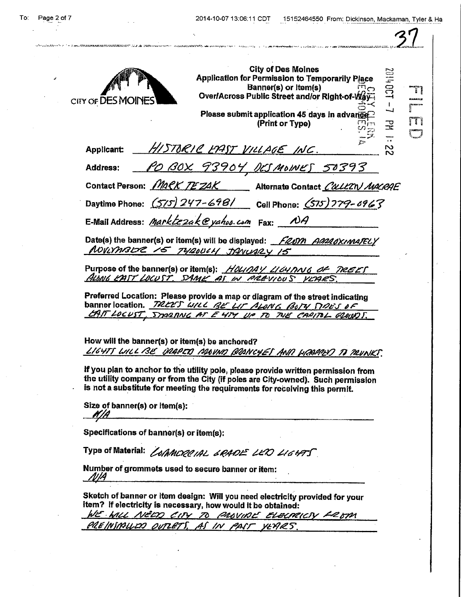en al considera

| CITY OF DES MO                         | <b>City of Des Moines</b><br>1301102<br><b>Application for Permission to Temporarily Place</b><br>Banner(s) or Item(s)<br>Over/Across Public Street and/or Right-of-W                                                                               |
|----------------------------------------|-----------------------------------------------------------------------------------------------------------------------------------------------------------------------------------------------------------------------------------------------------|
|                                        | است<br>Please submit application 45 days in advance.<br>(Print or Type)<br>궆                                                                                                                                                                        |
| <b>Applicant:</b>                      | HISTORIC EPAST VILLAGE INC.<br>N                                                                                                                                                                                                                    |
| <b>Address:</b>                        | <u>PO BOX 93904, DESMOINES 50393</u>                                                                                                                                                                                                                |
|                                        | Contact Person: MaCK TEZAK<br>Alternate Contact CallEN MACRAE                                                                                                                                                                                       |
|                                        | Daytime Phone: (575) 247-698/ Cell Phone: (575) 779-6963                                                                                                                                                                                            |
|                                        | E-Mail Address: Marktezak @yahoo.com Fax:                                                                                                                                                                                                           |
|                                        | Date(s) the banner(s) or item(s) will be displayed: FRNM AMMAKIMATELY<br>NOVINABUR 15 TYROUCH JANUARY 15                                                                                                                                            |
|                                        | Purpose of the banner(s) or item(s): HOUDAY LIGY TWE OF TREET<br>ALONG EAST LOCUST. SAME AS IN PREVIOUS YEARS.                                                                                                                                      |
|                                        | Preferred Location: Please provide a map or diagram of the street indicating<br>banner location. TREES WILL BE LIT ALONG BOTY TIDES OF                                                                                                              |
|                                        | CAIT LOCUST, STARANG AT E 474 UP TO THE CAPITOL GROUPS.                                                                                                                                                                                             |
|                                        | How will the banner(s) or item(s) be anchored?<br>LIGHTS WILL BE DRAPED AROUND BRANCHES AND HEARRED TO TRUNKS.                                                                                                                                      |
|                                        | If you plan to anchor to the utility pole, please provide written permission from<br>the utility company or from the City (if poles are City-owned). Such permission<br>is not a substitute for meeting the requirements for receiving this permit. |
| Size of banner(s) or item(s):<br>K I A |                                                                                                                                                                                                                                                     |
|                                        | Specifications of banner(s) or item(s):                                                                                                                                                                                                             |
|                                        |                                                                                                                                                                                                                                                     |
|                                        | Type of Material: <i>LofAMORR IAL, 6RADE LEIO LIGHTS</i>                                                                                                                                                                                            |

item? If electricity is necessary, how would it be obtained: WE WIL NEDD CITY TO PROVINE ELECTRICTY FROM<br>PREINIATION OUTLETS, AS IN PAST YEARS. PREINSMALLED OUTLETS, AS IN